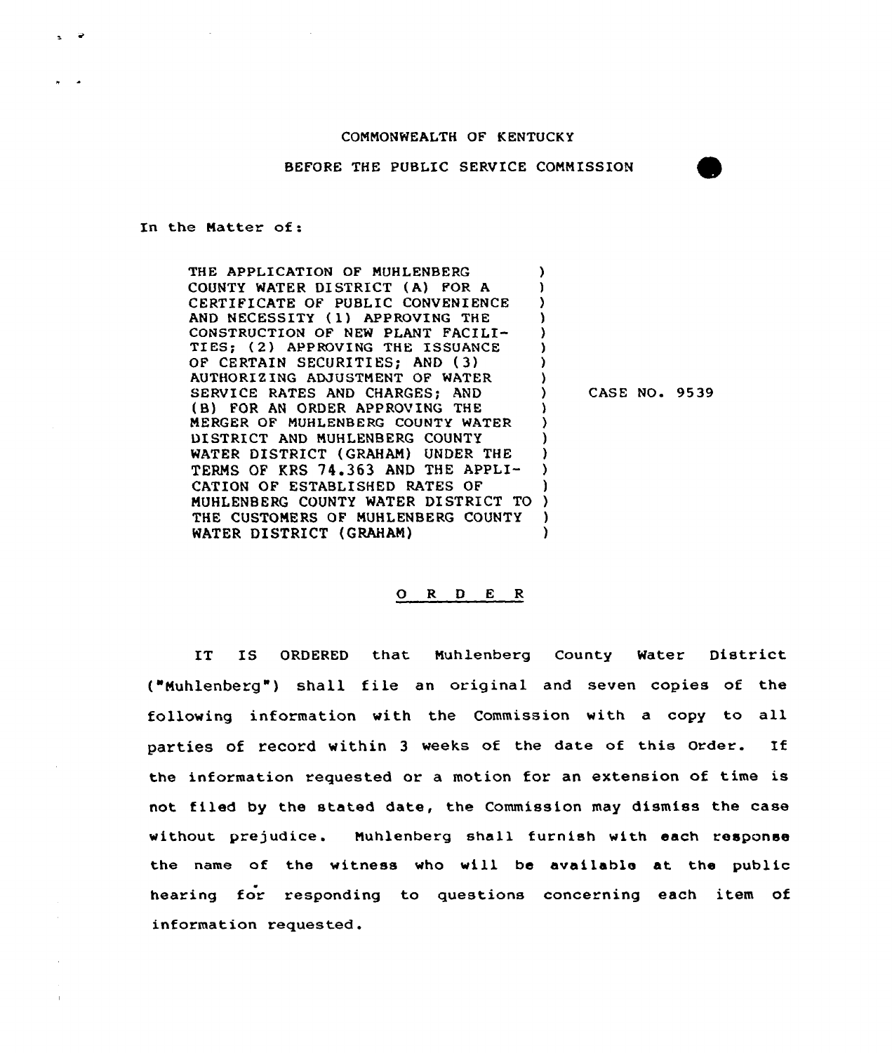#### CONNONWEALTH OF KENTUCKY

BEFORE THE PUBLIC SERVICE COMMISSION

#### In the Matter of:

THE APPLICATION OF MUHLENBERG ) COUNTY WATER DISTRICT (A) FOR A CERTIFICATE OF PUBLIC CONVENIENCE AND NECESSITY (1) APPROVING THE CONSTRUCTION OF NEW PLANT FACILI-TIES; (2) APPROVING THE ISSUANCE ) OF CERTAIN SECURITIES; AND (3) AUTHORI2 ING ADJUSTMENT OF WATER ) SERVICE RATES AND CHARGES; AND (B) FOR AN ORDER APPROVING THE ) MERGER OF MUHLENBERG COUNTY WATER DISTRICT AND MUHLENBERG COUNTY WATER DISTRICT (GRAHAM) UNDER THE TERMS OF KRS 74.363 AND THE APPLI- ) CATION OF ESTABLISHED RATES OF NUHLENB ERG COUNTY WATER DISTRICT TO ) THE CUSTOMERS OF MUHLENBERG COUNTY )<br>WATER DISTRICT (GRAHAM) WATER DISTRICT (GRAHAN) )

CASE NO. 9539

#### 0 <sup>R</sup> <sup>D</sup> <sup>E</sup> <sup>R</sup>

IT IS ORDERED that Nuhlenberg County Water District ("Muhlenberg") shall file an original and seven copies of the following information with the Commission with a copy to all parties of record within <sup>3</sup> weeks of the date of this order. If the information requested or a motion for an extension of time is not filed by the stated date, the Commission may dismiss the case without prejudice. Muhlenberg shall furnish with each response the name of the witness who will be available at the public hearing for responding to questions concerning each item of information requested.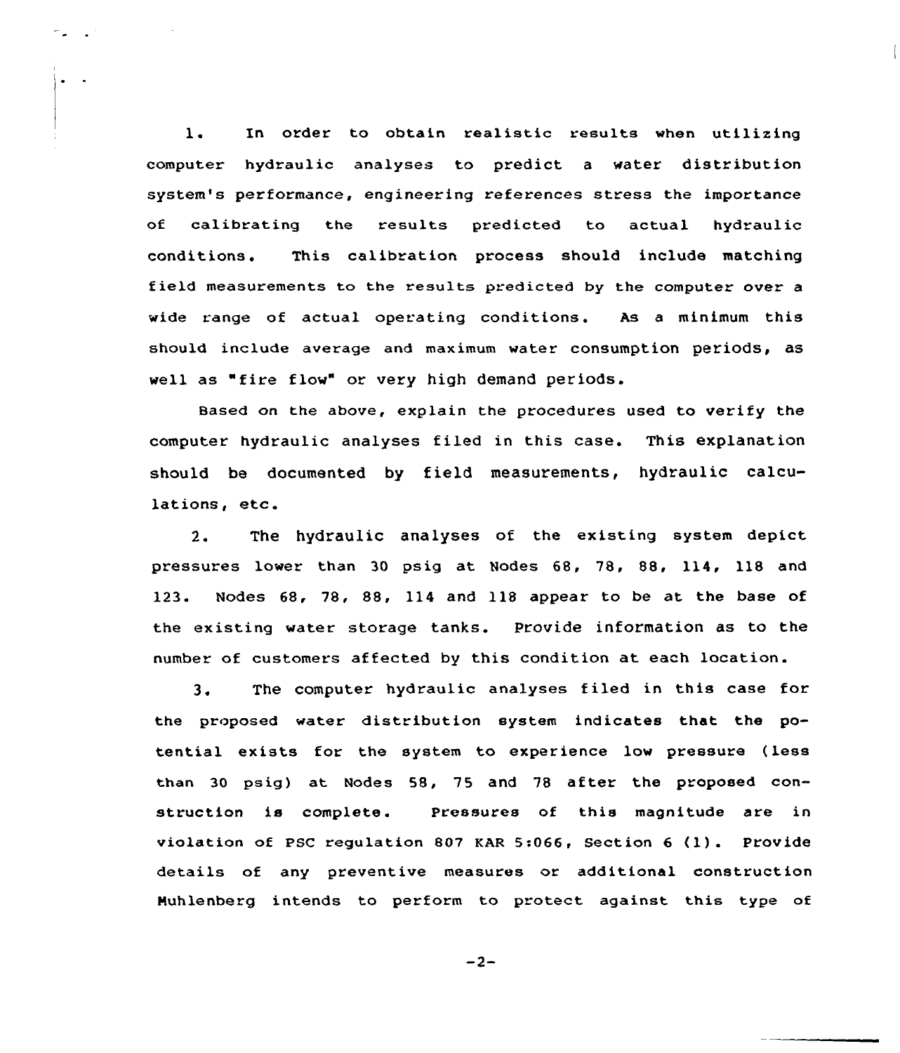1. In order to obtain realistic results when utilizing computer hydraulic analyses to predict a water distribution system's performance, engineering references stress the importance of calibrating the results predicted to actual hydraulic conditions. This calibration process should include matching field measurements to the results predicted by the computer over a wide range of actual operating conditions. As a minimum this should include average and maximum water consumption periods, as well as "fire flow" or very high demand periods.

Based on the above, explain the procedures used to verify the computer hydraulic analyses filed in this case. This explanation should be documented by field measurements, hydraulic calculations, etc.

2. The hydraulic analyses of the existing system depict pressures lower than 30 psig at Nodes 68, 78, 88, 114, 118 and 123. Nodes 68, 78, 88, 114 and 118 appear to be at the base of the existing water storage tanks. Provide information as to the number of customers affected by this condition at each location.

3. The computer hydraulic analyses filed in this case for the proposed water distribution system indicates that the potential exists for the system to experience low pressure (less than 30 psig) at Nodes 58, 75 and 78 after the proposed construction is complete. Pressures of this magnitude are in violation of PSC regulation <sup>807</sup> KAR 5:066, Section <sup>6</sup> (1). Provide details of any preventive measures or additional construction Nuhlenberg intends to perform to protect against this type of

 $-2-$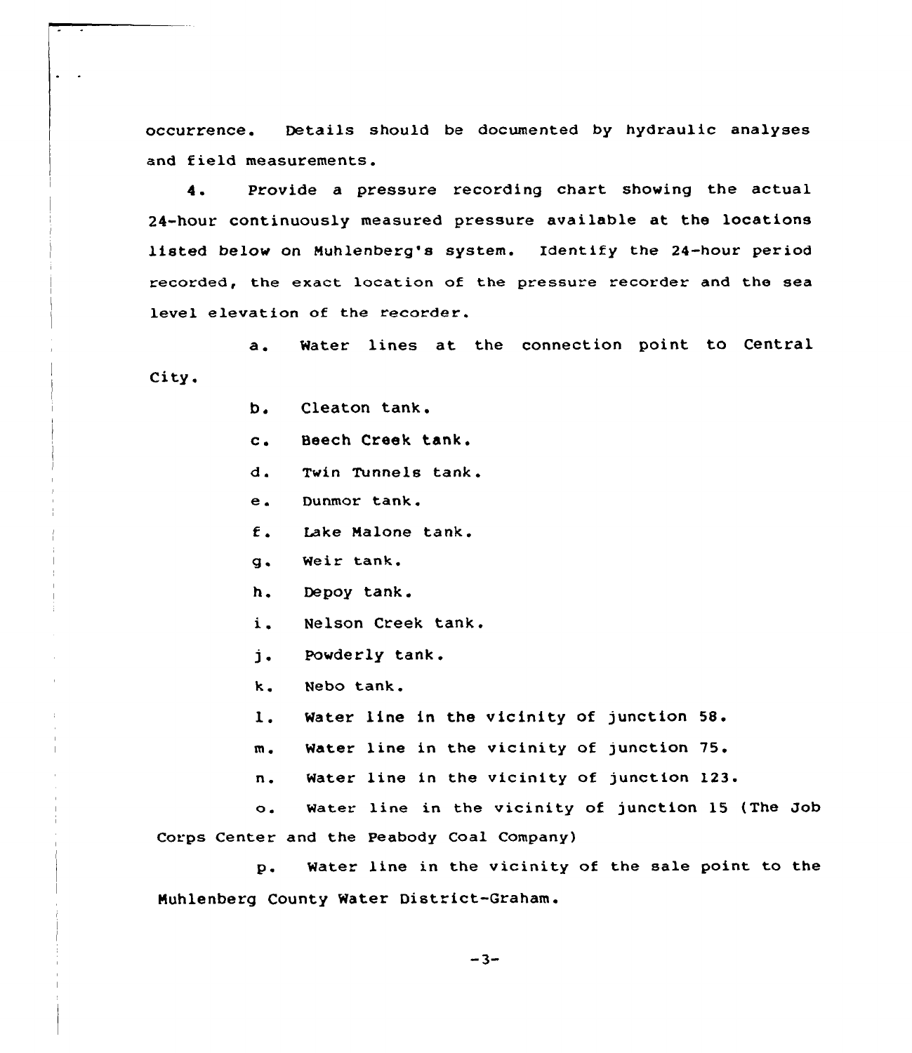occurrence. Details should be documented by hydraulic analyses and field measurements.

4. Provide a pressure recording chart showing the actual 24-hour continuously measured pressure available at the locations listed below on Muhlenberg's system. Identify the 24-hour period recorded, the exact location of the pressure recorder and the sea level elevation of the recorder.

a. Water lines at the connection point to Central City.

- b. Cleaton tank.
- c. Beech Creek tank.
- d. Twin Tunnels tank.
- e. Dunmor tank.
- <sup>f</sup> . Eake Malone tank.
- g. Weir tank.
- h. Depoy tank.
- i. Nelson Creek tank.
- j. Powderly tank.
- k. Nebo tank.
- l. Water line in the vicinity of junction 58.
- m. Water line in the vicinity of junction 75.
- n. Water line in the vicinity of junction l23.

o. water line in the vicinity of junction 15 (The Job Corps Center and the Peabody Coal Company)

p. Water line in the vicinity of the sale point to the Huhlenberg County Water District-Graham.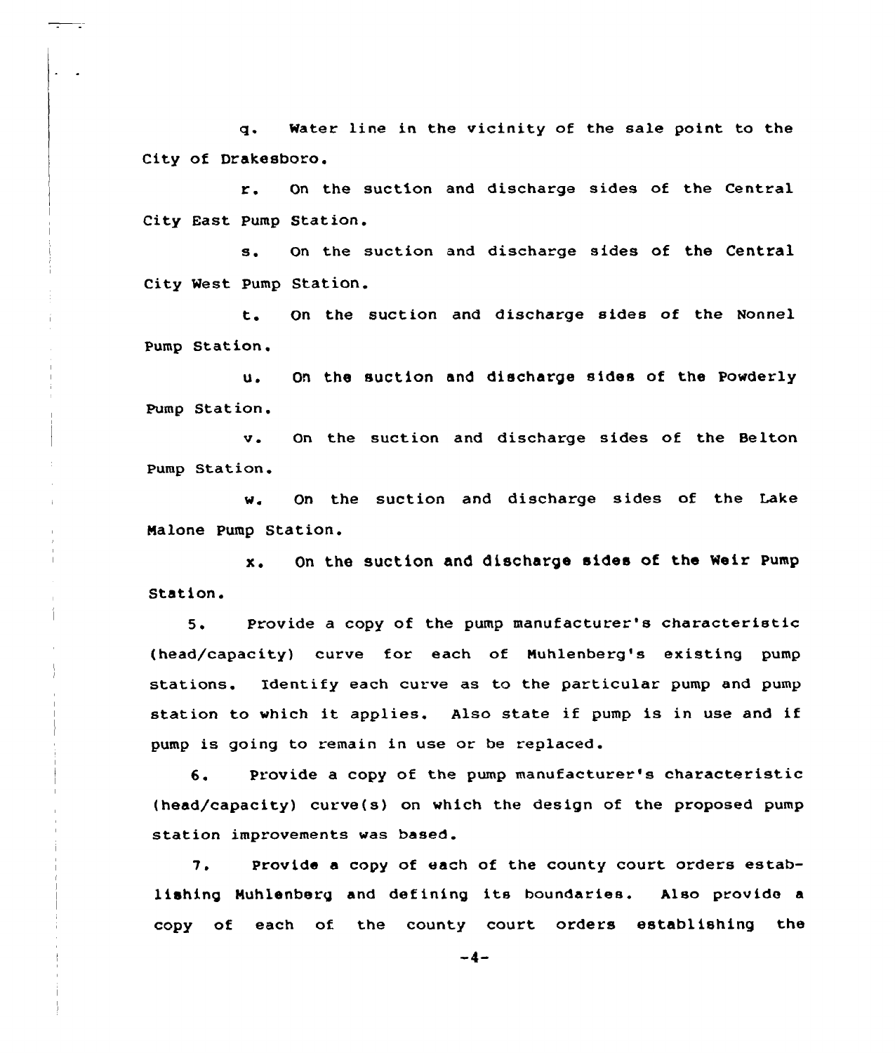g. Water line in the vicinity of the sale point to the City of Drakesboro.

On the suction and discharge sides of the Central  $r_{\rm A}$ City East Pump Station.

s. On the suction and discharge sides of the Central City West Pump Station.

On the suction and discharge sides of the Nonnel  $t -$ Pump Station.

u. On the suction and discharge sides of the Powderly Pump Stat ion.

v. On the suction and discharge sides of the Belton Pump Station.

w. On the suction and discharge sides of the Lake Nalone Pump Station.

x. On the suction and discharge sides of the Weir Pump Station.

5. Provide <sup>a</sup> copy of the pump manufacturer's characteristic (head/capacity) curve for each of Nuhlenberg's existing pump stations. Identify each curve as to the particular pump and pump station to which it applies. Also state if pump is in use and if pump is going to remain in use or be replaced.

6. Provide <sup>a</sup> copy of the pump manufacturer's characteristic (head/capacity) curve(s) on which the design of the proposed pump station improvements was based.

7. Provide <sup>a</sup> copy of each of the county court orders establishing Muhlenberg and defining its boundaries. Also provide a copy of each of the county court orders establishing the

 $-4-$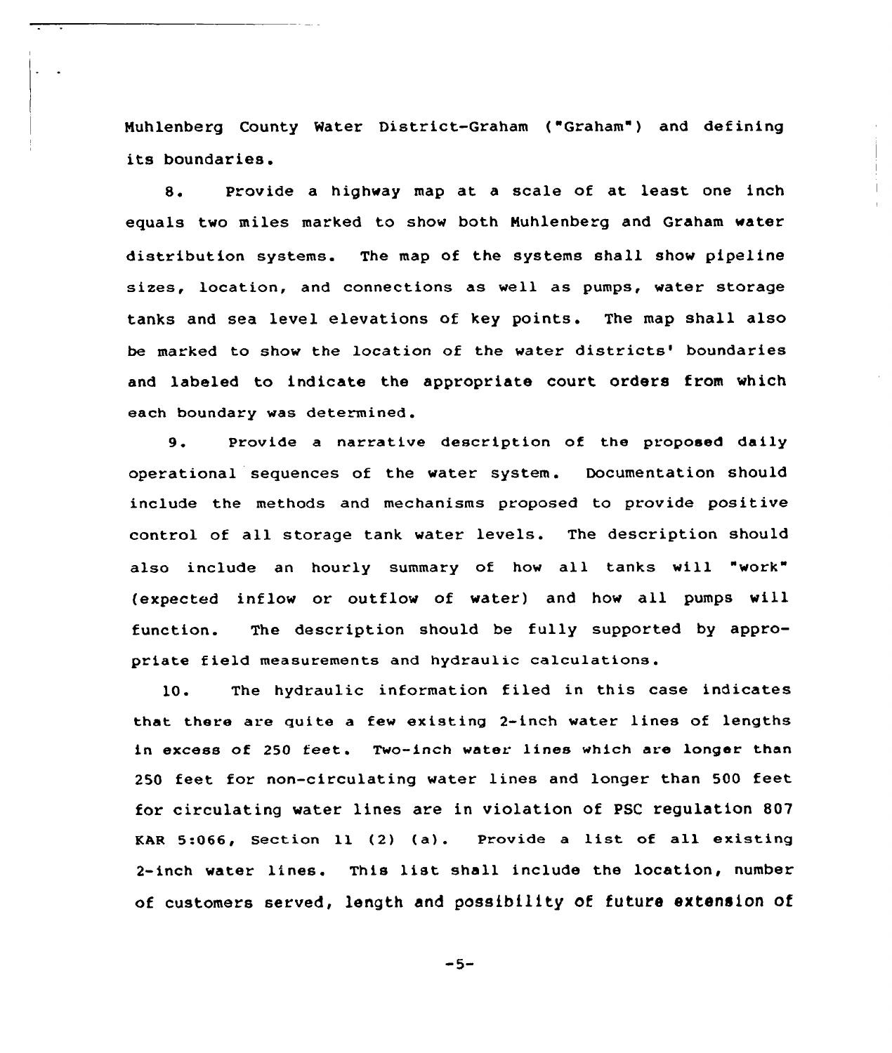Muhlenberg County Water District-Graham ("Graham") and defining its boundaries.

8. Provide a highway map at a scale of at least one inch equals two miles marked to show both Muhlenberg and Graham water distribution systems. The map of the systems shall show pipeline sizes, location, and connections as well as pumps, water storage tanks and sea level elevations of key points. The map shall also be marked to show the location of the water districts' boundaries and labeled to indicate the appropriate court orders from which each boundary was determined.

9. Provide <sup>a</sup> narrative description of the proposed daily operational sequences of the water system. Documentation should include the methods and mechanisms proposed to provide positive control of all storage tank water levels. The description should also include an hourly summary of how all tanks will "work" (expected inflow or outflow of water) and how all pumps will function. The description should be fully supported by appropriate field measurements and hydraulic calculations.

10. The hydraulic information filed in this case indicates that there are quite a few existing 2-inch water lines of lengths in excess of 250 feet. Two-inch water lines which are longer than 250 feet for non-circulating water lines and longer than 500 feet for circulating water lines are in violation of PSC regulation 807 KAR 5:066, Section ll (2) (a). Provide <sup>a</sup> list of all existing 2-inch water lines. This list shall include the location, number of customers served, length and possibility Of futura extension of

 $-5-$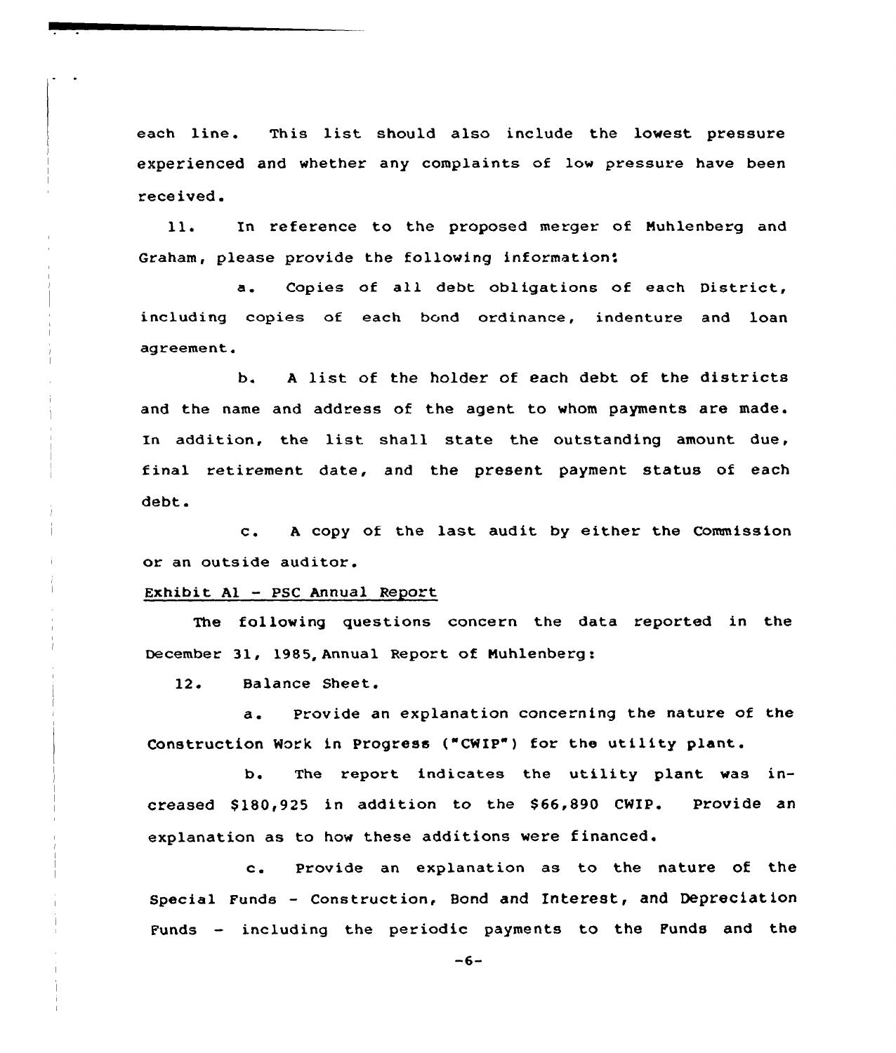each line. This list should also include the lowest pressure experienced and whether any complaints of low pressure have been received.

 $11.$ In reference to the proposed merger of Nuhlenberg and Graham, please provide the following information'.

a. Copies of all debt obligations of each District, including copies of each bond ordinance, indenture and loan agreement.

b. <sup>A</sup> list of the holder of each debt of the districts and the name and address of the agent to whom payments are made. In addition, the list shall state the outstanding amount due, final retirement date, and the present payment status of each debt.

c. <sup>A</sup> copy of the last audit by either the Commission or an outside auditor.

#### Exhibit Al — PSC Annual Report

The following questions concern the data reported in the December 31, 1985, Annual Report of Nuhlenberg:

12. Balance Sheet.

a. Provide an explanation concerning the nature of the Construction Work in Progress ("CWIP") for the utility plant.

b. The report indicates the utility plant was increased \$180,925 in addition to the \$66,890 CWIP. Provide an explanation as to how these additions were financed.

c. Provide an explanation as to the nature of the special Funds — construction, Bond and Interest, and Depreciation Funds — including the periodic payments to the Funds and the

 $-6-$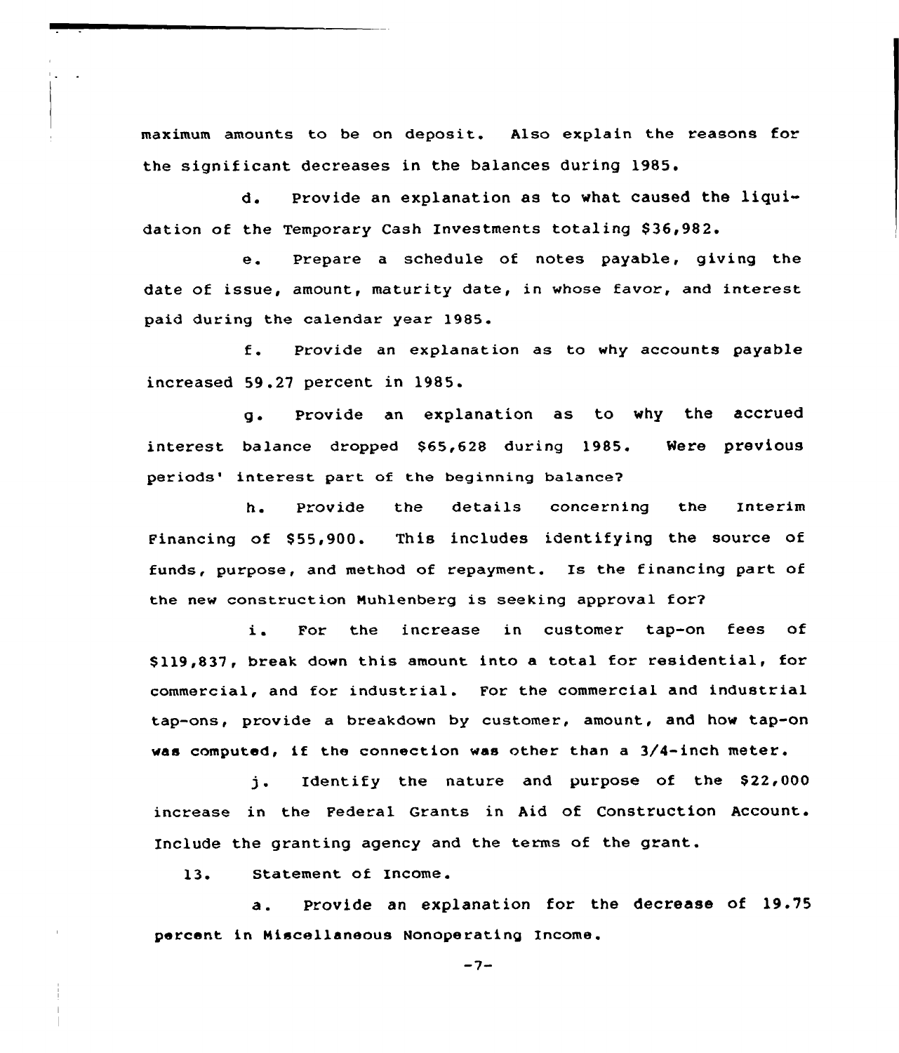maximum amounts to be on deposit. Also explain the reasons for the significant decreases in the balances during 1985.

d. Provide an explanation as to what caused the liquidation of the Temporary Cash Investments totaling \$36,982.

e. Prepare <sup>a</sup> schedule of notes payable, giving the date of issue, amount, maturity date, in whose favor, and interest paid during the calendar year 1985.

f. Provide an explanation as to why accounts payable increased 59 .27 percent in 1985.

g. Provide an explanation as to why the accrued interest balance dropped \$65,628 during 1985. Were <mark>previo</mark>u periods' interest part of the beginning balance?

h. Provide the details concerning the Interim Financing of \$55,900. This includes identifying the source of funds, purpose, and method of repayment. Is the financing part of the new construction Muhlenberg is seeking approval for?

i. For the increase in customer tap-on fees of \$ 119,837, break down this amount into a total for residential, for commercial, and for industrial. For the commercial and industrial tap-ons, provide a breakdown by customer, amount, and how tap-on was computed, if the connection was other than a 3/4-inch meter.

 $i.$  Identify the nature and purpose of the  $$22,000$ increase in the Federal Grants in Aid of Construction Account. Include the granting agency and the terms of the grant.

13. Statement of Income.

a. Provide an explanation for the decrease of 19.75 percent in Miscellaneous Nonoperating Income.

 $-7-$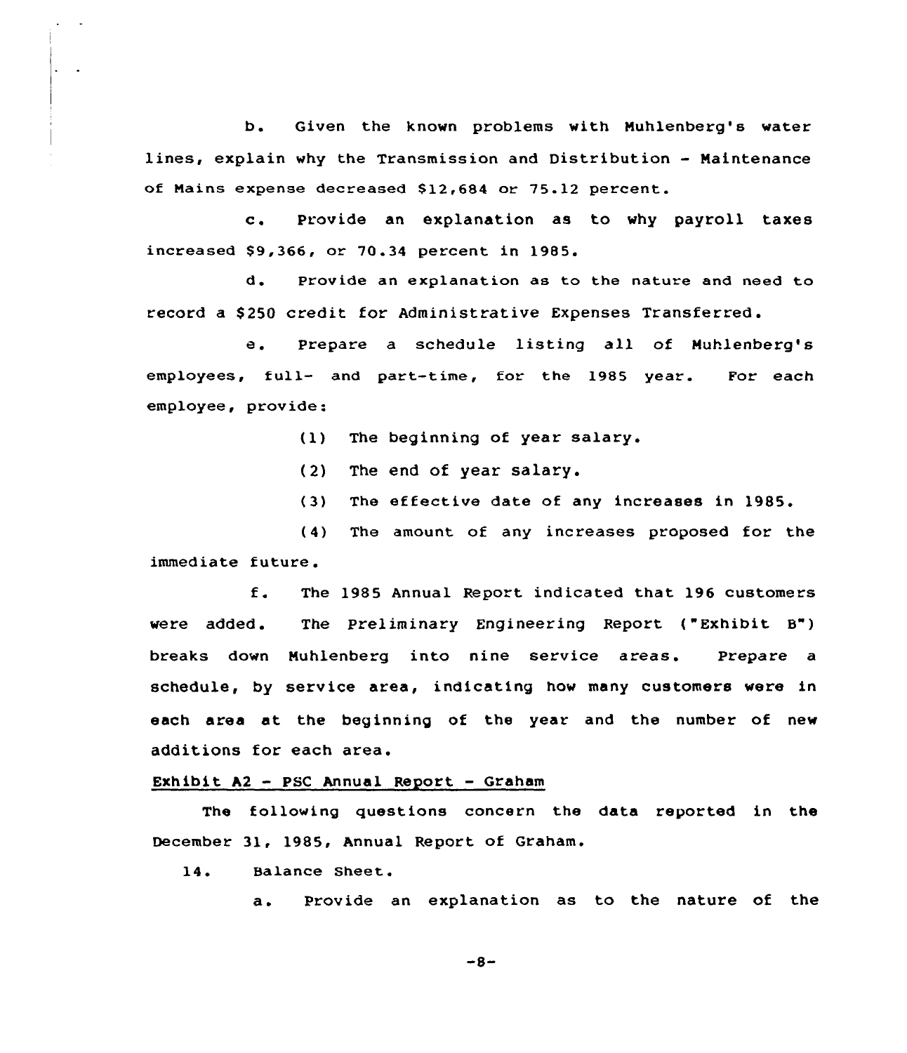b. Given the known problems with Muhlenberg's water lines, explain why the Transmission and Distribution — Naintenance of Mains expense decreased 812,684 or 75.12 percent.

c. Provide an explanation as to why payroll taxes increased  $$9,366$ , or  $70.34$  percent in 1985.

d. Provide an explanation as to the nature and need to record <sup>a</sup> \$ <sup>250</sup> credit for Administrative Expenses Transferred .

e. Prepare <sup>a</sup> schedule listing all of Muhlenberg's employees, full- and part-time, for the 1985 year. employee, provide: For each

(1) The beginning of year salary.

(2) The end of year salary.

(3) The effective date of any increases in 1985.

(4) The amount of any increases proposed for the immediate future.

f. The <sup>1985</sup> Annual Report indicated that <sup>196</sup> customers were added. The preliminary Engineering Report ("Exhibit B") breaks down Muhlenberg into nine service areas. Prepare a schedule, by service area, indicating how many customers were in each area at the beginning of the year and the number of new additions for each area.

# Exhibit A2 — PSC Annual Report — Graham

The following questions concern the data reported in the December 31, 1985, Annual Report of Graham.

14. Balance Sheet.

a. Provide an explanation as to the nature of the

-8-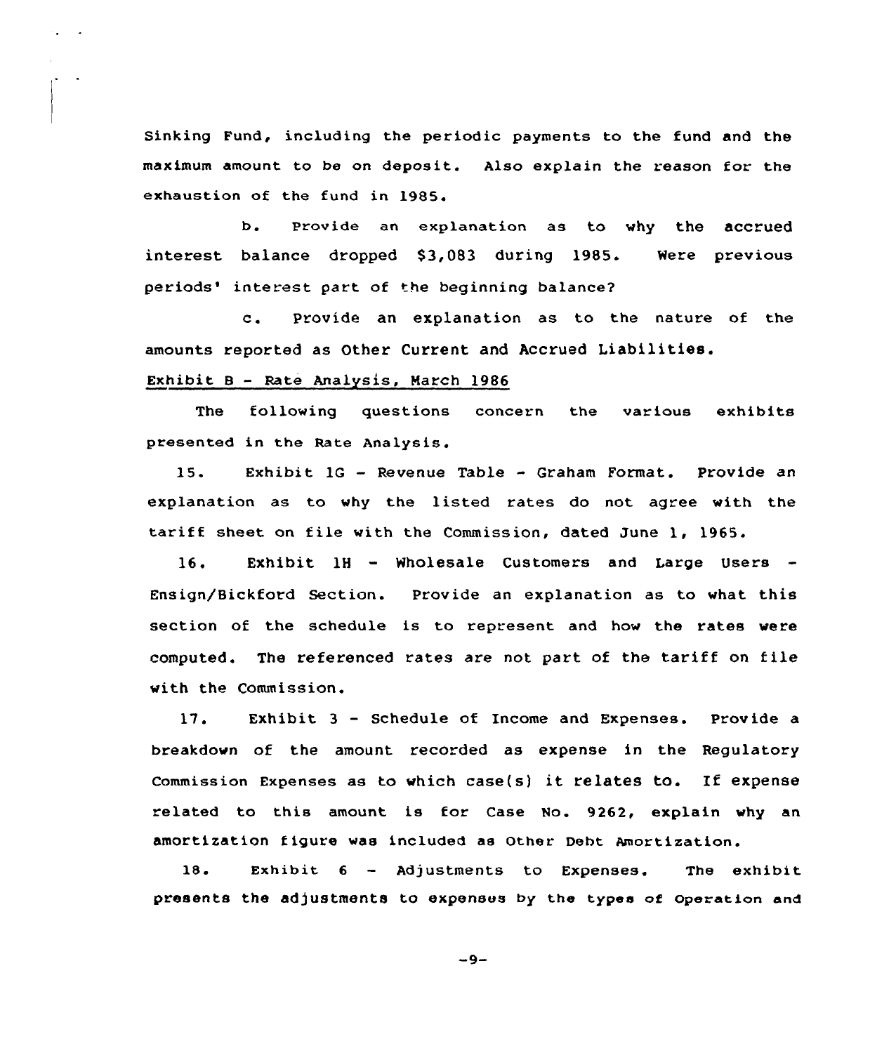Sinking Fund, including the periodic payments to the fund and the maximum amount to be on deposit. Also explain the reason for the exhaustion of the fund in 1985.

b. provide an explanation as to why the accrued interest balance dropped \$3,083 during 1985. Were previous periods' interest part of the beginning balance?

c. provide an explanation as to the nature of the amounts reported as Other Current and Accrued Liabilities.

# Exhibit 8 — Rate Analysis, March 1986

The following questions concern the various exhibits presented in the Rate Analysis.

 $15.$ Exhibit 1G — Revenue Table - Graham Format. Provide an explanation as to why the listed rates do not agree with the tariff sheet on file with the Commission, dated June 1, 1965.

16. Exhibit 1H - Wholesale Customers and Large Users -Ensign/Bickford Section. Provide an explanation as to what this section of the schedule is to represent and how the rates were computed. The referenced rates are not part of the tariff on file with the Commission.

Exhibit 3 — Schedule of Income and Expenses. Provide a  $17.$ breakdown of the amount recorded as expense in the Regulatory commission Expenses as to which case(s) it relates to. If expense related to this amount is for Case No. 9262, explain why an amortization figure was included as Other Debt Amortization.

18. Exhibit 6 - Adjustments to Expenses. The exhibit presents the adjustments to expenses by the types of Operation and

 $-9-$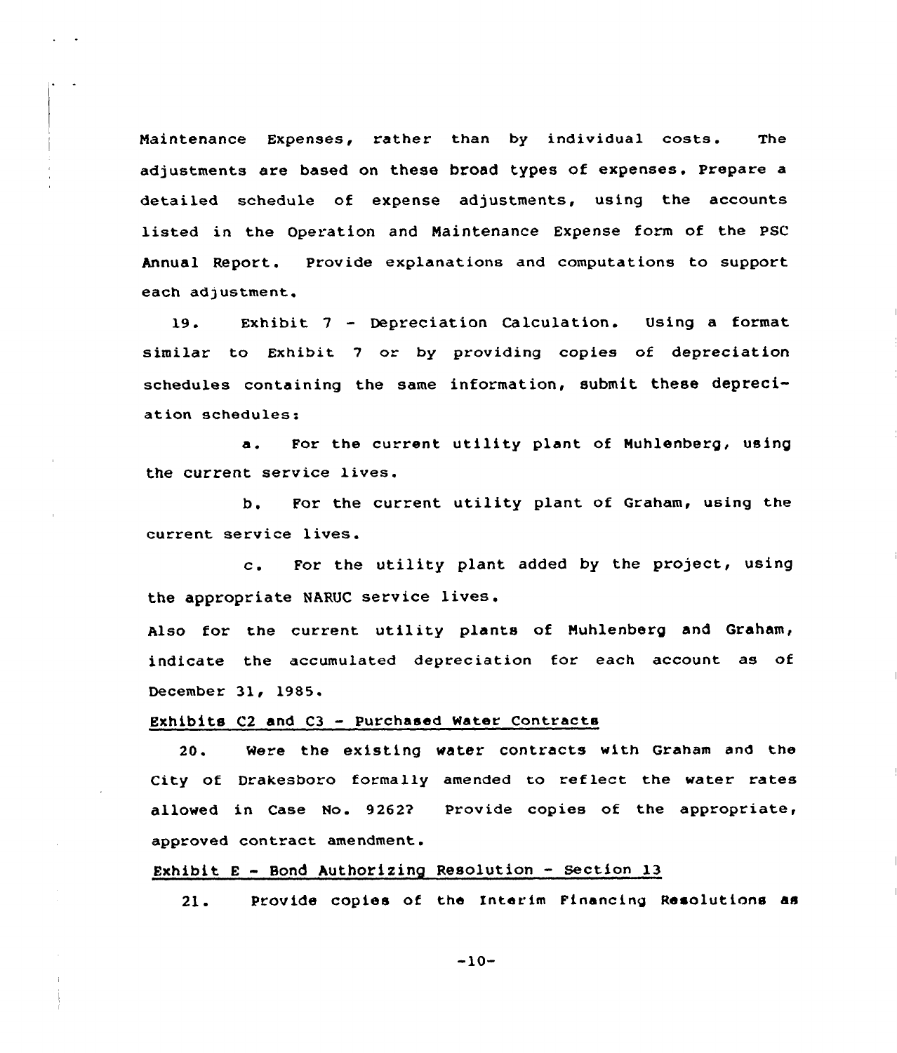Naintenance Expenses, rather than by individual costs. The adjustments are based on these broad types of expenses. Prepare a detailed schedule of expense adjustments, using the accounts listed in the Operation and Naintenance Expense form of the PSC Annual Report. Provide explanations and computations to support each adjustment.

19. Exhibit <sup>7</sup> — Depreciation Calculation. Using a format similar to Exhibit 7 or by providing copies of depreciation schedules containing the same information, submit these depreciat ion schedules:

a. For the current utility plant of Nuhlenberg, using the current service lives.

b. For the current utility plant of Graham, using the current service lives.

c. For the utility plant added by the project, using the appropriate NARUC service lives.

Also for the current utility plants of Nuhlenberg and Graham, indicate the accumulated depreciation for each account as of December 31, 1985.

## Exhibits C2 and C3 — Purchased Water Contracts

20. Were the existing water contracts with Graham and the City of Drakesboro formally amended to reflect the water rates allowed in Case No. 9262? Provide copies of the appropriate approved contract amendment.

# Exhibit E - Bond Authorizing Resolution - Section 13

21. Provide copies of the Interim Financing Resolutions as

-10-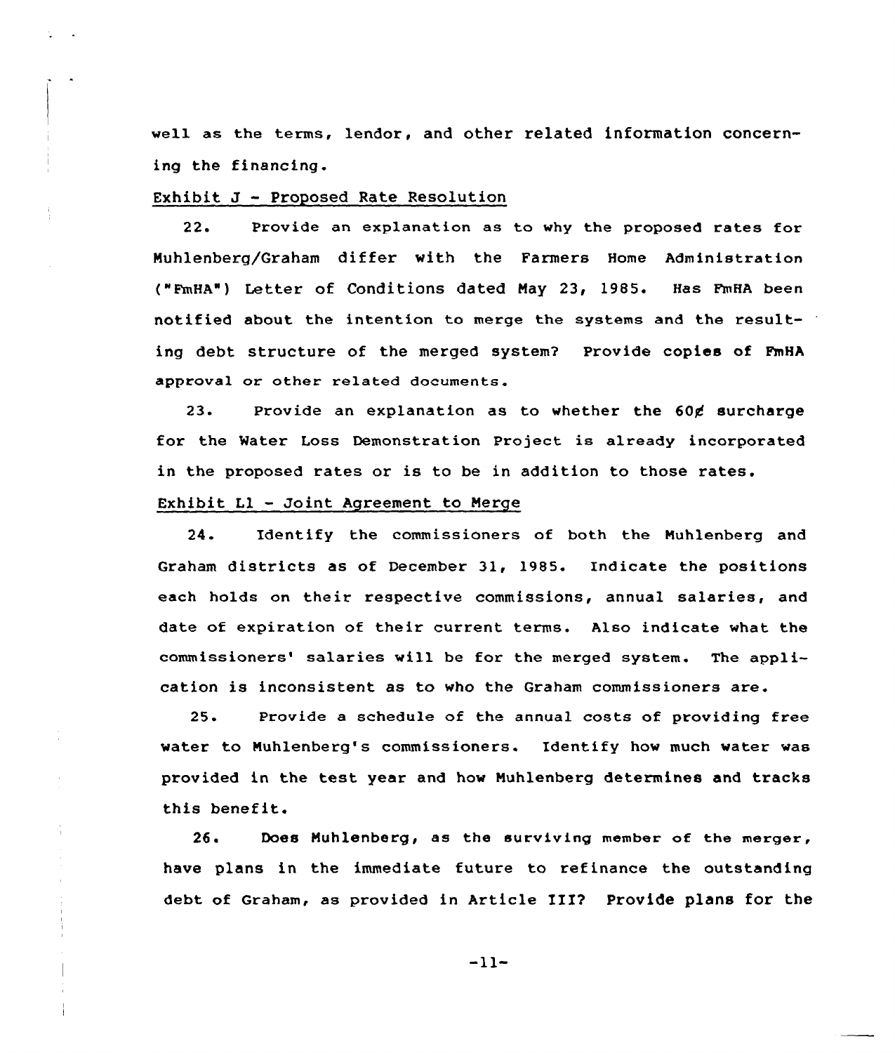well as the terms, lendor, and other related information concerning the financing.

#### Exhibit J — Proposed Rate Resolution

22. Provide an explanation as to why the proposed rates for Muhlenberg/Graham differ with the Farmers Home Administration ("FmHA") Letter of Conditions dated Nay 23, 1985. Has FmHA been notified about the intention to merge the systems and the resulting debt structure of the merged system2 Provide copies of FmHA approval or other related documents.

23. Provide an explanation as to whether the 60 *surcharge* for the Water Loss Demonstration Project is already incorporated in the proposed rates or is to be in addition to those rates.

# Exhibit Ll - Joint Agreement to Nerge

 $24.$ Identify the commissioners of both the Nuhlenberg and Graham districts as of December 31, 1985. Indicate the positions each holds on their respective commissions, annual salaries, and date of expiration of their current terms. Also indicate what the commissioners' salaries will be for the merged system. The application is inconsistent as to who the Graham commissioners are.

25. Provide a schedule of the annual costs of providing free water to Nuhlenberg's commissioners. Identify how much water was provided in the test year and how Nuhlenberg determines and tracks this benefit.

26 <sup>~</sup> Does Muhlenberg, as the surviving member of the merger, have plans in the immediate future to refinance the outstanding debt of Graham, as provided in Article III? Provide plans for the

 $-11-$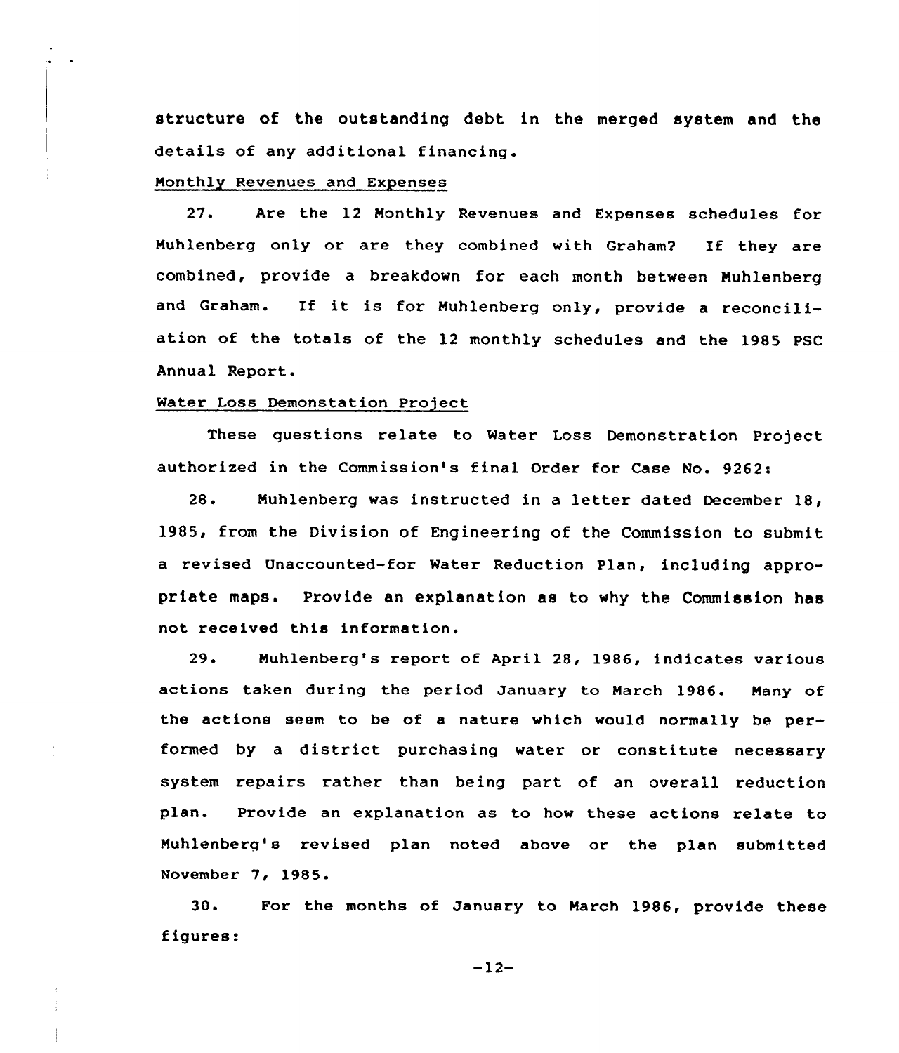structure of the outstanding debt in the merged system and the details of any additional financing.

## Monthly Revenues and Expenses

27. Are the 12 Monthly Revenues and Expenses schedules for Muhlenberg only or are they combined with Graham2 If they are combined, provide a breakdown for each month between Muhlenberg and Graham. If it is for Nuhlenberg only, provide <sup>a</sup> reconciliation of the totals of the 12 monthly schedules and the 1985 PSC Annual Report.

#### Water Loss Demonstation Project

These questions relate to Water Loss Demonstration Project authorized in the Commission's final Order for Case No. 9262:

28. Muhlenberg was instructed in <sup>a</sup> letter dated December 18, 1985, from the Division of Engineering of the Commission to submit a revised Unaccounted-for Water Reduction Plan, including appropriate maps. Provide an explanation as to why the Commission has not received this information.

29. Nuhlenberg's report of April 28, 1986, indicates various actions taken during the period January to March 1986. Many of the actions seem to be of a nature which would normally be performed by <sup>a</sup> district purchasing water or constitute necessary system repairs rather than being part of an overall reduction plan. Provide an explanation as to how these actions relate to Nuhlenberg's revised plan noted above or the plan submitted November 7, 1985.

30. For the months of January to March 1986, provide these figures:

-12-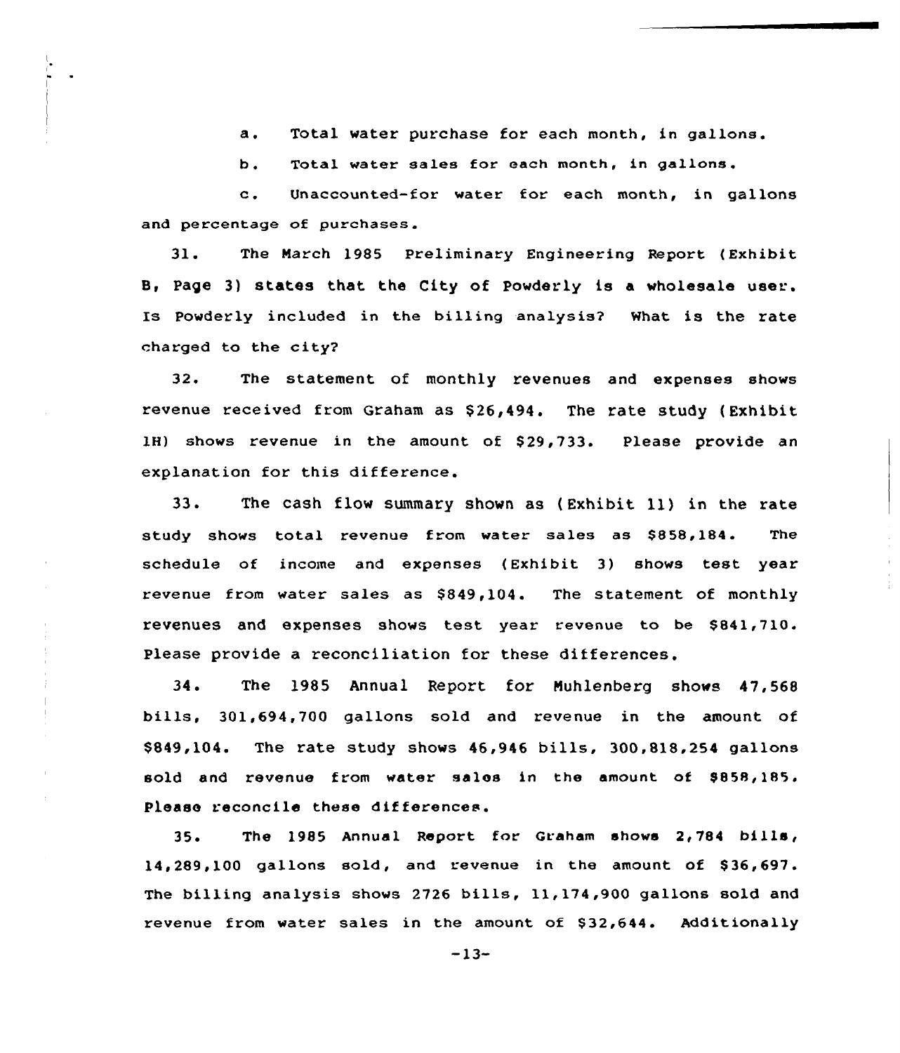a. Total water purchase for each month, in gallons.

b. Total water sales for each month, in gallons.

c. Unaccounted-for water for each month, in gallons and percentage of purchases.

31. The March 1985 Preliminary Engineering Report (Exhibit 8, Page 3) states that the City of Powderly is a wholesale user. Is Powderly included in the billing analysis? What is the rate charged to the city?

32. The statement of monthly revenues and expenses shows revenue received from Graham as \$26,494. The rate study (Exhibit 1H) shows revenue in the amount of \$29,733. Please provide an explanation for this difference.

33. The cash flow summary shown as ( Exhibit 11) in the rate study shows total revenue from water sales as \$858,184. The schedule of income and expenses (Exhibit 3) shows test year revenue from water sales as  $$849,104$ . The statement of monthly revenues and expenses shows test year revenue to be \$841,710. Please provide a reconciliation for these differences.

34. The 1985 Annual Report for Muhlenberg shows 47,568 bills, 301,694,700 gallons sold and revenue in the amount of \$849,104. The rate study shows 46,946 bills, 300,818,254 gallons sold and revenue from water sales in the amount of \$858,185. Please reconcile these differences.

35. The 1985 Annual Report for Graham shows 2,784 bills, 14,289,100 gallons sold, and revenue in the amount of \$36,697. The billing analysis shows 2726 bills, 11,174,900 gallons sold and revenue from water sales in the amount of \$32,644. Additionally

—13-